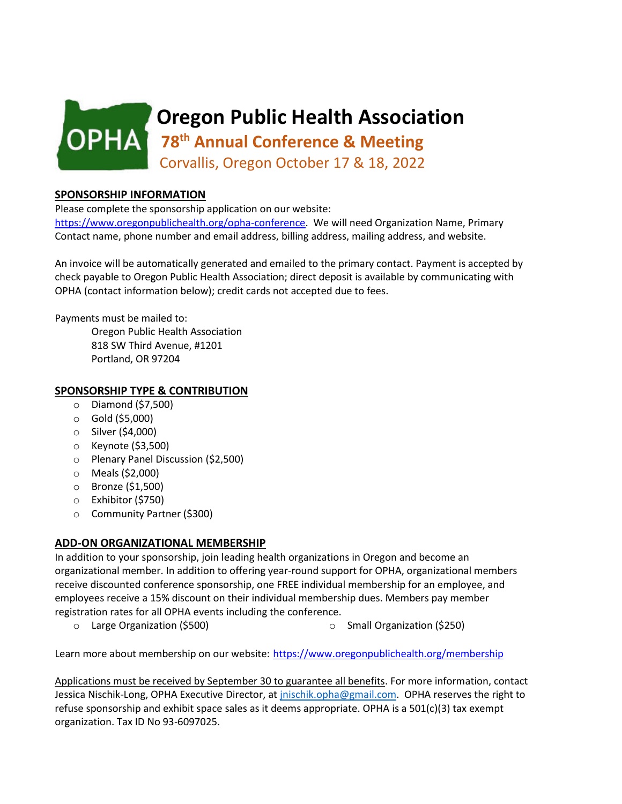

## **SPONSORSHIP INFORMATION**

Please complete the sponsorship application on our website: [https://www.oregonpublichealth.org/opha-conference.](https://www.oregonpublichealth.org/opha-conference) We will need Organization Name, Primary Contact name, phone number and email address, billing address, mailing address, and website.

An invoice will be automatically generated and emailed to the primary contact. Payment is accepted by check payable to Oregon Public Health Association; direct deposit is available by communicating with OPHA (contact information below); credit cards not accepted due to fees.

Payments must be mailed to:

Oregon Public Health Association 818 SW Third Avenue, #1201 Portland, OR 97204

## **SPONSORSHIP TYPE & CONTRIBUTION**

- o Diamond (\$7,500)
- o Gold (\$5,000)
- o Silver (\$4,000)
- o Keynote (\$3,500)
- o Plenary Panel Discussion (\$2,500)
- o Meals (\$2,000)
- o Bronze (\$1,500)
- o Exhibitor (\$750)
- o Community Partner (\$300)

## **ADD-ON ORGANIZATIONAL MEMBERSHIP**

In addition to your sponsorship, join leading health organizations in Oregon and become an organizational member. In addition to offering year-round support for OPHA, organizational members receive discounted conference sponsorship, one FREE individual membership for an employee, and employees receive a 15% discount on their individual membership dues. Members pay member registration rates for all OPHA events including the conference.

o Large Organization (\$500) o Small Organization (\$250)

Learn more about membership on our website: <https://www.oregonpublichealth.org/membership>

Applications must be received by September 30 to guarantee all benefits. For more information, contact Jessica Nischik-Long, OPHA Executive Director, a[t jnischik.opha@gmail.com.](mailto:jnischik.opha@gmail.com) OPHA reserves the right to refuse sponsorship and exhibit space sales as it deems appropriate. OPHA is a 501(c)(3) tax exempt organization. Tax ID No 93-6097025.